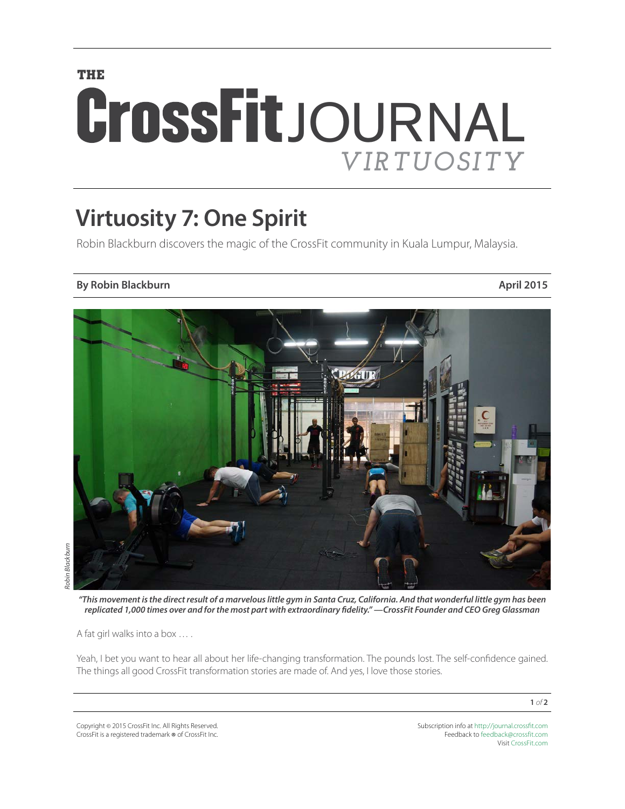## **THE** CrossFitJOURNAL *VIRTUOSITY*

## **Virtuosity 7: One Spirit**

Robin Blackburn discovers the magic of the CrossFit community in Kuala Lumpur, Malaysia.

## **By Robin Blackburn April 2015**



*"This movement is the direct result of a marvelous little gym in Santa Cruz, California. And that wonderful little gym has been replicated 1,000 times over and for the most part with extraordinary fidelity." —CrossFit Founder and CEO Greg Glassman*

A fat girl walks into a box … .

Yeah, I bet you want to hear all about her life-changing transformation. The pounds lost. The self-confidence gained. The things all good CrossFit transformation stories are made of. And yes, I love those stories.

Copyright © 2015 CrossFit Inc. All Rights Reserved. CrossFit is a registered trademark ® of CrossFit Inc. Subscription info at <http://journal.crossfit.com> Feedback to [feedback@crossfit.com](mailto:feedback@crossfit.com) Visit [CrossFit.com](http://www.crossfit.com)

**1** *of* **2**